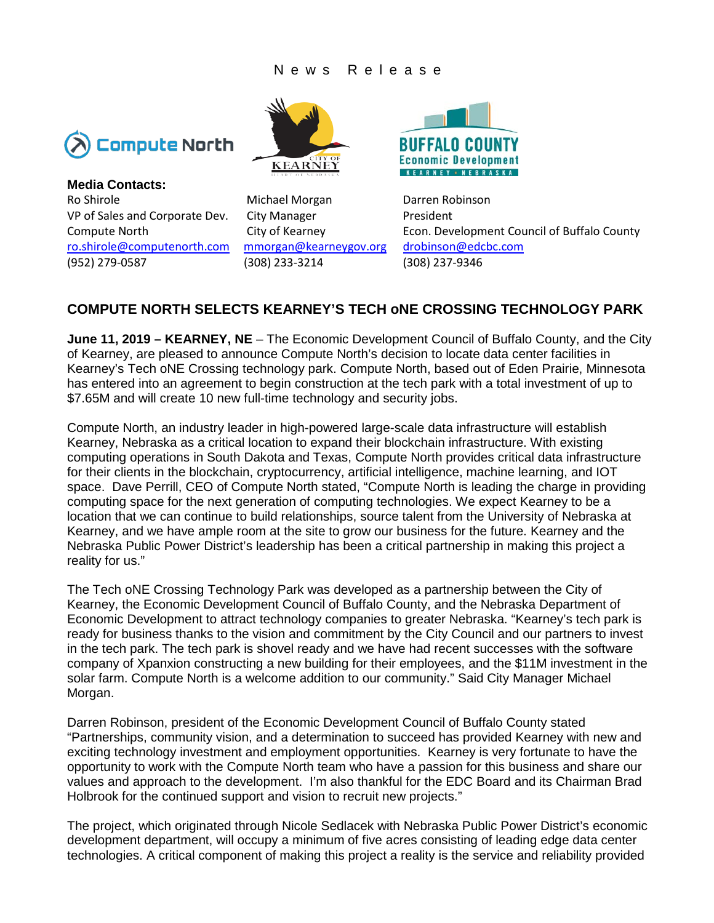## News Release



**Media Contacts:**  Ro Shirole **Michael Morgan** Darren Robinson VP of Sales and Corporate Dev. City Manager President [ro.shirole@computenorth.com](mailto:ro.shirole@computenorth.com) [mmorgan@kearneygov.org](mailto:mmorgan@kearneygov.org) [drobinson@edcbc.com](mailto:drobinson@edcbc.com) (952) 279-0587 (308) 233-3214 (308) 237-9346





Compute North City of Kearney Econ. Development Council of Buffalo County

## **COMPUTE NORTH SELECTS KEARNEY'S TECH oNE CROSSING TECHNOLOGY PARK**

**June 11, 2019 – KEARNEY, NE** – The Economic Development Council of Buffalo County, and the City of Kearney, are pleased to announce Compute North's decision to locate data center facilities in Kearney's Tech oNE Crossing technology park. Compute North, based out of Eden Prairie, Minnesota has entered into an agreement to begin construction at the tech park with a total investment of up to \$7.65M and will create 10 new full-time technology and security jobs.

Compute North, an industry leader in high-powered large-scale data infrastructure will establish Kearney, Nebraska as a critical location to expand their blockchain infrastructure. With existing computing operations in South Dakota and Texas, Compute North provides critical data infrastructure for their clients in the blockchain, cryptocurrency, artificial intelligence, machine learning, and IOT space. Dave Perrill, CEO of Compute North stated, "Compute North is leading the charge in providing computing space for the next generation of computing technologies. We expect Kearney to be a location that we can continue to build relationships, source talent from the University of Nebraska at Kearney, and we have ample room at the site to grow our business for the future. Kearney and the Nebraska Public Power District's leadership has been a critical partnership in making this project a reality for us."

The Tech oNE Crossing Technology Park was developed as a partnership between the City of Kearney, the Economic Development Council of Buffalo County, and the Nebraska Department of Economic Development to attract technology companies to greater Nebraska. "Kearney's tech park is ready for business thanks to the vision and commitment by the City Council and our partners to invest in the tech park. The tech park is shovel ready and we have had recent successes with the software company of Xpanxion constructing a new building for their employees, and the \$11M investment in the solar farm. Compute North is a welcome addition to our community." Said City Manager Michael Morgan.

Darren Robinson, president of the Economic Development Council of Buffalo County stated "Partnerships, community vision, and a determination to succeed has provided Kearney with new and exciting technology investment and employment opportunities. Kearney is very fortunate to have the opportunity to work with the Compute North team who have a passion for this business and share our values and approach to the development. I'm also thankful for the EDC Board and its Chairman Brad Holbrook for the continued support and vision to recruit new projects."

The project, which originated through Nicole Sedlacek with Nebraska Public Power District's economic development department, will occupy a minimum of five acres consisting of leading edge data center technologies. A critical component of making this project a reality is the service and reliability provided